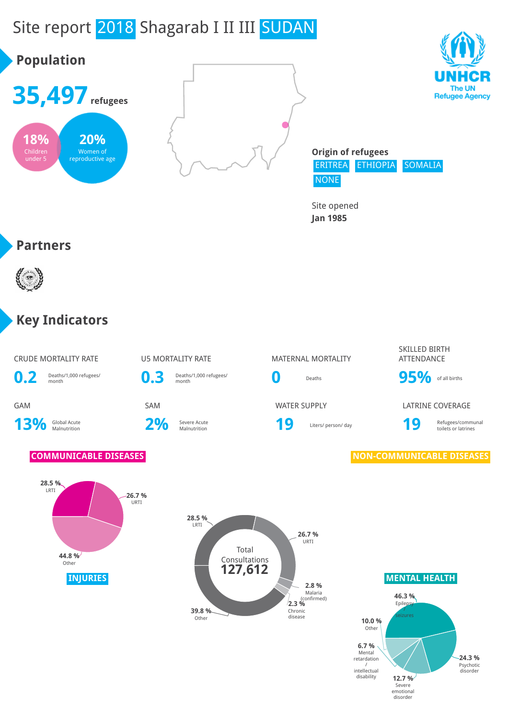# Site report 2018 Shagarab I II III SUDAN



Site opened **Jan 1985**

#### **Partners**



#### **Key Indicators**

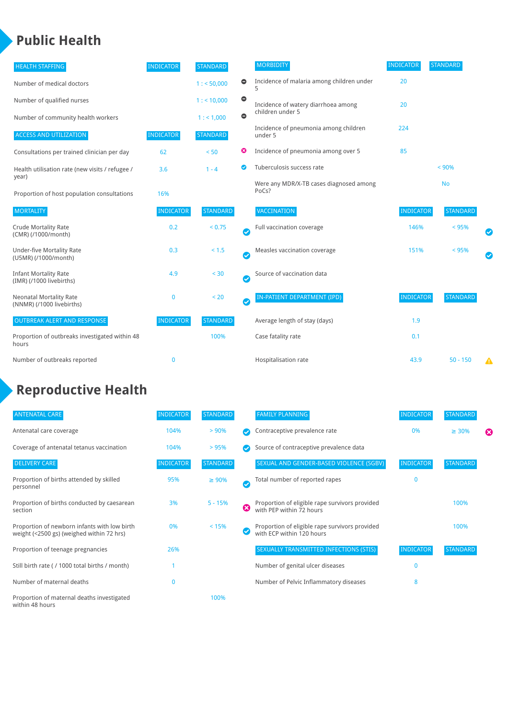### **Public Health**

| <b>HEALTH STAFFING</b>                                      | <b>INDICATOR</b> | <b>STANDARD</b> |           | <b>MORBIDITY</b>                                 | <b>INDICATOR</b> | <b>STANDARD</b> |   |
|-------------------------------------------------------------|------------------|-----------------|-----------|--------------------------------------------------|------------------|-----------------|---|
| Number of medical doctors                                   |                  | 1: 50,000       | $\bullet$ | Incidence of malaria among children under        | 20               |                 |   |
| Number of qualified nurses                                  |                  | $1:$ < 10,000   | $\bullet$ | Incidence of watery diarrhoea among              | 20               |                 |   |
| Number of community health workers                          |                  | 1:1,000         | $\bullet$ | children under 5                                 |                  |                 |   |
| <b>ACCESS AND UTILIZATION</b>                               | <b>INDICATOR</b> | <b>STANDARD</b> |           | Incidence of pneumonia among children<br>under 5 | 224              |                 |   |
| Consultations per trained clinician per day                 | 62               | < 50            | ☺         | Incidence of pneumonia among over 5              | 85               |                 |   |
| Health utilisation rate (new visits / refugee /             | 3.6              | $1 - 4$         | ◙         | Tuberculosis success rate                        |                  | < 90%           |   |
| year)<br>Proportion of host population consultations        | 16%              |                 |           | Were any MDR/X-TB cases diagnosed among<br>PoCs? |                  | <b>No</b>       |   |
| <b>MORTALITY</b>                                            | <b>INDICATOR</b> | <b>STANDARD</b> |           | <b>VACCINATION</b>                               | <b>INDICATOR</b> | <b>STANDARD</b> |   |
| <b>Crude Mortality Rate</b><br>(CMR) (/1000/month)          | 0.2              | < 0.75          | Ø         | Full vaccination coverage                        | 146%             | < 95%           |   |
| <b>Under-five Mortality Rate</b><br>(U5MR) (/1000/month)    | 0.3              | $< 1.5$         | Ø         | Measles vaccination coverage                     | 151%             | < 95%           |   |
| <b>Infant Mortality Rate</b><br>(IMR) (/1000 livebirths)    | 4.9              | $30$            | Ø         | Source of vaccination data                       |                  |                 |   |
| <b>Neonatal Mortality Rate</b><br>(NNMR) (/1000 livebirths) | 0                | < 20            | Ø         | IN-PATIENT DEPARTMENT (IPD)                      | <b>INDICATOR</b> | <b>STANDARD</b> |   |
| <b>OUTBREAK ALERT AND RESPONSE</b>                          | <b>INDICATOR</b> | <b>STANDARD</b> |           | Average length of stay (days)                    | 1.9              |                 |   |
| Proportion of outbreaks investigated within 48<br>hours     |                  | 100%            |           | Case fatality rate                               | 0.1              |                 |   |
| Number of outbreaks reported                                | $\bf{0}$         |                 |           | Hospitalisation rate                             | 43.9             | $50 - 150$      | Δ |

## **Reproductive Health**

| <b>ANTENATAL CARE</b>                                                                     | <b>INDICATOR</b> | <b>STANDARD</b> |   | <b>FAMILY PLANNING</b>                                                      | <b>INDICATOR</b> | <b>STANDARD</b> |   |
|-------------------------------------------------------------------------------------------|------------------|-----------------|---|-----------------------------------------------------------------------------|------------------|-----------------|---|
| Antenatal care coverage                                                                   | 104%             | > 90%           |   | Contraceptive prevalence rate                                               | 0%               | $\geq 30\%$     | ⊠ |
| Coverage of antenatal tetanus vaccination                                                 | 104%             | >95%            |   | Source of contraceptive prevalence data                                     |                  |                 |   |
| <b>DELIVERY CARE</b>                                                                      | <b>INDICATOR</b> | <b>STANDARD</b> |   | SEXUAL AND GENDER-BASED VIOLENCE (SGBV)                                     | <b>INDICATOR</b> | <b>STANDARD</b> |   |
| Proportion of births attended by skilled<br>personnel                                     | 95%              | $\geq 90\%$     | Ø | Total number of reported rapes                                              | $\mathbf{0}$     |                 |   |
| Proportion of births conducted by caesarean<br>section                                    | 3%               | $5 - 15%$       | ظ | Proportion of eligible rape survivors provided<br>with PEP within 72 hours  |                  | 100%            |   |
| Proportion of newborn infants with low birth<br>weight (<2500 gs) (weighed within 72 hrs) | 0%               | < 15%           |   | Proportion of eligible rape survivors provided<br>with ECP within 120 hours |                  | 100%            |   |
| Proportion of teenage pregnancies                                                         | 26%              |                 |   | SEXUALLY TRANSMITTED INFECTIONS (STIS)                                      | <b>INDICATOR</b> | <b>STANDARD</b> |   |
| Still birth rate (/ 1000 total births / month)                                            |                  |                 |   | Number of genital ulcer diseases                                            | $\mathbf{0}$     |                 |   |
| Number of maternal deaths                                                                 | $\mathbf{0}$     |                 |   | Number of Pelvic Inflammatory diseases                                      | 8                |                 |   |
| Proportion of maternal deaths investigated<br>within 48 hours                             |                  | 100%            |   |                                                                             |                  |                 |   |